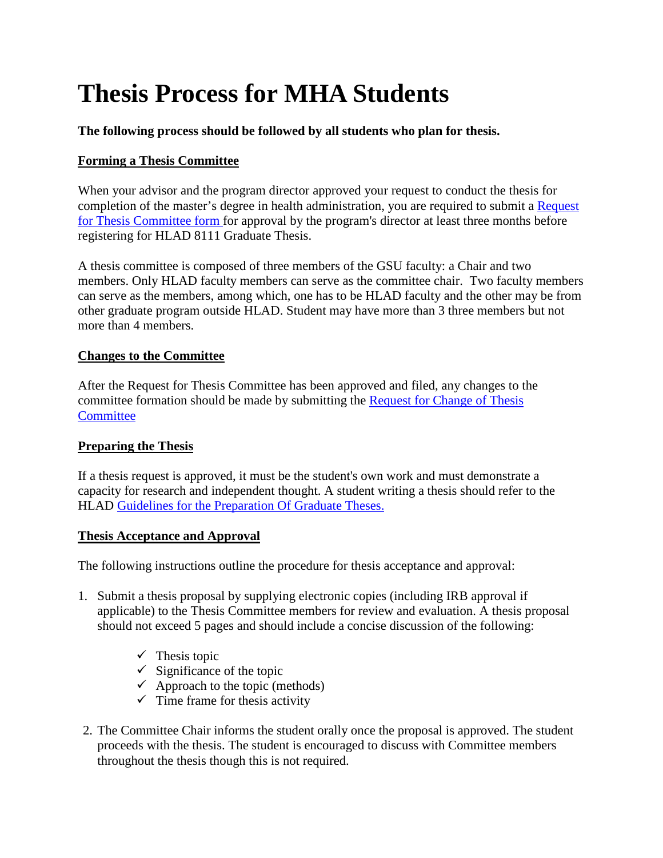# **Thesis Process for MHA Students**

### **The following process should be followed by all students who plan for thesis.**

## **Forming a Thesis Committee**

When your advisor and the program director approved your request to conduct the thesis for completion of the master's degree in health administration, you are required to submit a Request for Thesis Committee form for approval by the program's director at least three months before registering for HLAD 8111 Graduate Thesis.

A thesis committee is composed of three members of the GSU faculty: a Chair and two members. Only HLAD faculty members can serve as the committee chair. Two faculty members can serve as the members, among which, one has to be HLAD faculty and the other may be from other graduate program outside HLAD. Student may have more than 3 three members but not more than 4 members.

#### **Changes to the Committee**

After the Request for Thesis Committee has been approved and filed, any changes to the committee formation should be made by submitting the Request for Change of Thesis **Committee** 

#### **Preparing the Thesis**

If a thesis request is approved, it must be the student's own work and must demonstrate a capacity for research and independent thought. A student writing a thesis should refer to the HLAD Guidelines for the Preparation Of Graduate Theses.

#### **Thesis Acceptance and Approval**

The following instructions outline the procedure for thesis acceptance and approval:

- 1. Submit a thesis proposal by supplying electronic copies (including IRB approval if applicable) to the Thesis Committee members for review and evaluation. A thesis proposal should not exceed 5 pages and should include a concise discussion of the following:
	- $\checkmark$  Thesis topic
	- $\checkmark$  Significance of the topic
	- $\checkmark$  Approach to the topic (methods)
	- $\checkmark$  Time frame for thesis activity
- 2. The Committee Chair informs the student orally once the proposal is approved. The student proceeds with the thesis. The student is encouraged to discuss with Committee members throughout the thesis though this is not required.